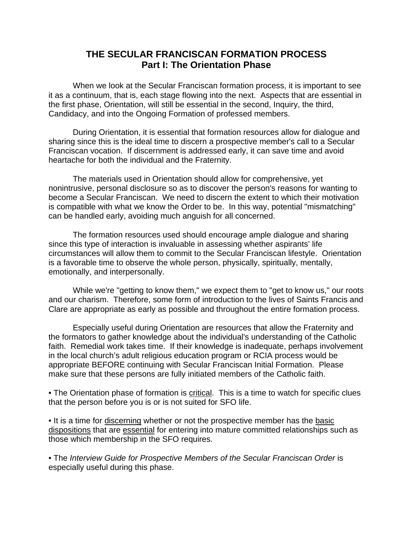## **THE SECULAR FRANCISCAN FORMATION PROCESS Part I: The Orientation Phase**

 When we look at the Secular Franciscan formation process, it is important to see it as a continuum, that is, each stage flowing into the next. Aspects that are essential in the first phase, Orientation, will still be essential in the second, Inquiry, the third, Candidacy, and into the Ongoing Formation of professed members.

 During Orientation, it is essential that formation resources allow for dialogue and sharing since this is the ideal time to discern a prospective member's call to a Secular Franciscan vocation. If discernment is addressed early, it can save time and avoid heartache for both the individual and the Fraternity.

 The materials used in Orientation should allow for comprehensive, yet nonintrusive, personal disclosure so as to discover the person's reasons for wanting to become a Secular Franciscan. We need to discern the extent to which their motivation is compatible with what we know the Order to be. In this way, potential "mismatching" can be handled early, avoiding much anguish for all concerned.

 The formation resources used should encourage ample dialogue and sharing since this type of interaction is invaluable in assessing whether aspirants' life circumstances will allow them to commit to the Secular Franciscan lifestyle. Orientation is a favorable time to observe the whole person, physically, spiritually, mentally, emotionally, and interpersonally.

 While we're "getting to know them," we expect them to "get to know us," our roots and our charism. Therefore, some form of introduction to the lives of Saints Francis and Clare are appropriate as early as possible and throughout the entire formation process.

 Especially useful during Orientation are resources that allow the Fraternity and the formators to gather knowledge about the individual's understanding of the Catholic faith. Remedial work takes time. If their knowledge is inadequate, perhaps involvement in the local church's adult religious education program or RCIA process would be appropriate BEFORE continuing with Secular Franciscan Initial Formation. Please make sure that these persons are fully initiated members of the Catholic faith.

• The Orientation phase of formation is critical. This is a time to watch for specific clues that the person before you is or is not suited for SFO life.

• It is a time for discerning whether or not the prospective member has the basic dispositions that are essential for entering into mature committed relationships such as those which membership in the SFO requires.

• The Interview Guide for Prospective Members of the Secular Franciscan Order is especially useful during this phase.